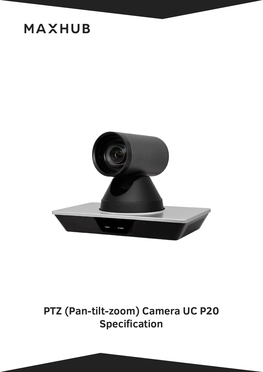

### **PTZ (Pan-tilt-zoom) Camera UC P20 Specification**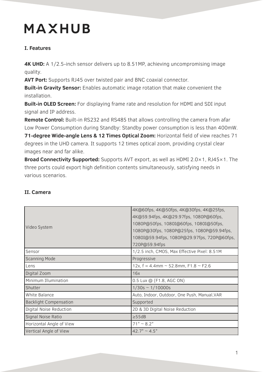#### **I. Features**

**4K UHD:** A 1/2.5-inch sensor delivers up to 8.51MP, achieving uncompromising image quality.

**AVT Port:** Supports RJ45 over twisted pair and BNC coaxial connector.

**Built-in Gravity Sensor:** Enables automatic image rotation that make convenient the installation.

**Built-in OLED Screen:** For displaying frame rate and resolution for HDMI and SDI input signal and IP address.

**Remote Control:** Built-in RS232 and RS485 that allows controlling the camera from afar Low Power Consumption during Standby: Standby power consumption is less than 400mW. **71-degree Wide-angle Lens & 12 Times Optical Zoom:** Horizontal field of view reaches 71 degrees in the UHD camera. It supports 12 times optical zoom, providing crystal clear

images near and far alike. **Broad Connectivity Supported:** Supports AVT export, as well as HDMI 2.0×1, RJ45×1. The three ports could export high definition contents simultaneously, satisfying needs in

various scenarios.

| Video System                  | 4K@60fps, 4K@50fps, 4K@30fps, 4K@25fps,<br>4K@59.94fps, 4K@29.97fps, 1080P@60fps,<br>1080P@50fps, 1080I@60fps, 1080I@50fps,<br>1080P@30fps, 1080P@25fps, 1080P@59.94fps,<br>1080I@59.94fps, 1080P@29.97fps, 720P@60fps,<br>720P@59.94fps |
|-------------------------------|------------------------------------------------------------------------------------------------------------------------------------------------------------------------------------------------------------------------------------------|
| Sensor                        | 1/2.5 inch, CMOS, Max Effective Pixel: 8.51M                                                                                                                                                                                             |
| <b>Scanning Mode</b>          | Progressive                                                                                                                                                                                                                              |
| Lens                          | 12x, $f = 4.4$ mm ~ 52.8mm, F1.8 ~ F2.6                                                                                                                                                                                                  |
| Digital Zoom                  | 16x                                                                                                                                                                                                                                      |
| Minimum Illumination          | 0.5 Lux @ (F1.8, AGC ON)                                                                                                                                                                                                                 |
| Shutter                       | $1/30s \sim 1/10000s$                                                                                                                                                                                                                    |
| White Balance                 | Auto, Indoor, Outdoor, One Push, Manual, VAR                                                                                                                                                                                             |
| <b>Backlight Compensation</b> | Supported                                                                                                                                                                                                                                |
| Digital Noise Reduction       | 2D & 3D Digital Noise Reduction                                                                                                                                                                                                          |
| Signal Noise Ratio            | $\geq$ 55dB                                                                                                                                                                                                                              |
| Horizontal Angle of View      | $71^{\circ} \sim 8.2^{\circ}$                                                                                                                                                                                                            |
| Vertical Angle of View        | $42.7^{\circ} \sim 4.5^{\circ}$                                                                                                                                                                                                          |

#### **II. Camera**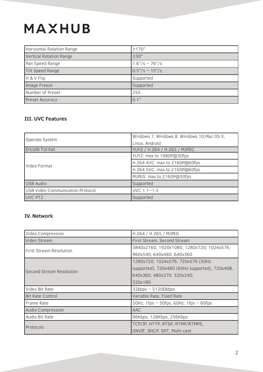| Horizontal Rotation Range      | ±170°                             |
|--------------------------------|-----------------------------------|
| <b>Vertical Rotation Range</b> | ±30°                              |
| Pan Speed Range                | $1.6^{\circ}/s \sim 76^{\circ}/s$ |
| <b>Tilt Speed Range</b>        | $0.5^{\circ}/s \sim 15^{\circ}/s$ |
| H & V Flip                     | Supported                         |
| Image Freeze                   | Supported                         |
| Number of Preset               | 255                               |
| <b>Preset Accuracy</b>         | $0.1^\circ$                       |

#### **III. UVC Features**

| Operate System                   | Windows 7, Windows 8, Windows 10, Mac OS X, |
|----------------------------------|---------------------------------------------|
|                                  | Linux, Android                              |
| Encode Format                    | YUY2 / H.264 / H.265 / MJPEG                |
| Video Format                     | YUY2: max to 1080P@30fps                    |
|                                  | H.264 AVC: max to 2160P@60fps               |
|                                  | H.264 SVC: max to 2160P@60fps               |
|                                  | MJPEG: max to 2160P@30fps                   |
| <b>USB Audio</b>                 | Supported                                   |
| USB Video Communication Protocol | $UVC$ 1.1~1.5                               |
| UVC PTZ                          | Supported                                   |

#### **IV. Network**

| Video Compression               | H.264 / H.265 / MJPEG                            |
|---------------------------------|--------------------------------------------------|
| Video Stream                    | First Stream, Second Stream                      |
| <b>First Stream Resolution</b>  | 3840x2160, 1920x1080, 1280x720, 1024x576,        |
|                                 | 960x540, 640x480, 640x360                        |
| <b>Second Stream Resolution</b> | 1280x720, 1024x576, 720x576 (50Hz                |
|                                 | supported), 720x480 (60Hz supported), 720x408,   |
|                                 | 640x360, 480x270, 320x240,                       |
|                                 | 320x180                                          |
| Video Bit Rate                  | $32kbps \sim 51200kbps$                          |
| <b>Bit Rate Control</b>         | Variable Rate, Fixed Rate                        |
| Frame Rate                      | 50Hz: 1fps $\sim$ 50fps, 60Hz: 1fps $\sim$ 60fps |
| Audio Compression               | <b>AAC</b>                                       |
| Audio Bit Rate                  | 96Kbps, 128Kbps, 256Kbps                         |
| Protocols                       | TCP/IP, HTTP, RTSP, RTMP/RTMPS,                  |
|                                 | ONVIF, DHCP, SRT, Multi-cast                     |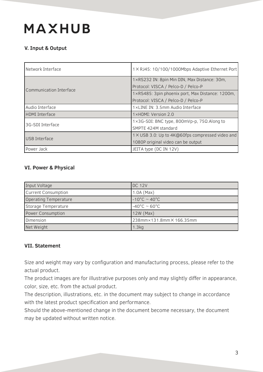#### **V. Input & Output**

| Network Interface       | 1 × RJ45: 10/100/1000Mbps Adaptive Ethernet Port |
|-------------------------|--------------------------------------------------|
|                         |                                                  |
| Communication Interface | 1×RS232 IN: 8pin Min DIN, Max Distance: 30m,     |
|                         | Protocol: VISCA / Pelco-D / Pelco-P              |
|                         | 1×RS485: 3pin phoenix port, Max Distance: 1200m, |
|                         | Protocol: VISCA / Pelco-D / Pelco-P              |
| Audio Interface         | 1×LINE IN: 3.5mm Audio Interface                 |
| <b>HDMI</b> Interface   | 1×HDMI: Version 2.0                              |
| 3G-SDI Interface        | 1×3G-SDI: BNC type, 800mVp-p, 75Ω.Along to       |
|                         | SMPTE 424M standard                              |
| USB Interface           | 1 × USB 3.0: Up to 4K@60fps compressed video and |
|                         | 1080P original video can be output               |
| Power Jack              | JEITA type (DC IN 12V)                           |

#### **VI. Power & Physical**

| Input Voltage              | <b>DC 12V</b>                     |
|----------------------------|-----------------------------------|
| <b>Current Consumption</b> | $1.0A$ (Max)                      |
| Operating Temperature      | $-10^{\circ}$ C ~ 40 $^{\circ}$ C |
| Storage Temperature        | $-40^{\circ}$ C ~ 60 $^{\circ}$ C |
| Power Consumption          | $12W$ (Max)                       |
| Dimension                  | 238mm×131.8mm×166.35mm            |
| Net Weight                 | 1.3kg                             |

#### **VII. Statement**

Size and weight may vary by configuration and manufacturing process, please refer to the actual product.

The product images are for illustrative purposes only and may slightly differ in appearance, color, size, etc. from the actual product.

The description, illustrations, etc. in the document may subject to change in accordance with the latest product specification and performance.

Should the above-mentioned change in the document become necessary, the document may be updated without written notice.